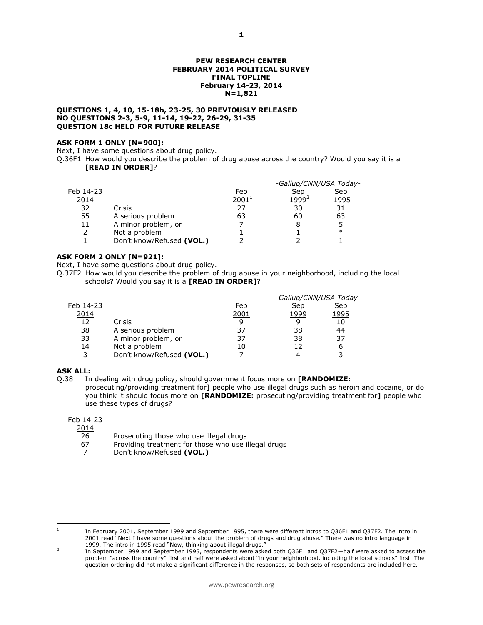#### **PEW RESEARCH CENTER FEBRUARY 2014 POLITICAL SURVEY FINAL TOPLINE February 14-23, 2014 N=1,821**

#### **QUESTIONS 1, 4, 10, 15-18b, 23-25, 30 PREVIOUSLY RELEASED NO QUESTIONS 2-3, 5-9, 11-14, 19-22, 26-29, 31-35 QUESTION 18c HELD FOR FUTURE RELEASE**

#### **ASK FORM 1 ONLY [N=900]:**

Next, I have some questions about drug policy.

Q.36F1 How would you describe the problem of drug abuse across the country? Would you say it is a **[READ IN ORDER]**?

|             |                           |            | -Gallup/CNN/USA Today- |             |
|-------------|---------------------------|------------|------------------------|-------------|
| Feb 14-23   |                           | Feb        | Sep                    | Sep         |
| <u>2014</u> |                           | $2001^{1}$ | 1999 <sup>2</sup>      | <u>1995</u> |
| 32          | Crisis                    | 27         | 30                     | 31          |
| 55          | A serious problem         | 63         | 60                     | 63          |
| 11          | A minor problem, or       |            |                        | 5           |
| 2           | Not a problem             |            |                        | $\ast$      |
|             | Don't know/Refused (VOL.) |            |                        |             |
|             |                           |            |                        |             |

## **ASK FORM 2 ONLY [N=921]:**

Next, I have some questions about drug policy.

Q.37F2 How would you describe the problem of drug abuse in your neighborhood, including the local schools? Would you say it is a **[READ IN ORDER]**?

|           |                           |              | -Gallup/CNN/USA Today- |      |
|-----------|---------------------------|--------------|------------------------|------|
| Feb 14-23 |                           | Feb          | Sep                    | Sep  |
| 2014      |                           | <u> 2001</u> | 1999                   | 1995 |
| 12        | Crisis                    | q            |                        | 10   |
| 38        | A serious problem         | 37           | 38                     | 44   |
| 33        | A minor problem, or       | 37           | 38                     | 37   |
| 14        | Not a problem             | 10           | 12                     | 6    |
| 3         | Don't know/Refused (VOL.) |              |                        | 3    |
|           |                           |              |                        |      |

## **ASK ALL:**

Q.38 In dealing with drug policy, should government focus more on **[RANDOMIZE:** 

prosecuting/providing treatment for**]** people who use illegal drugs such as heroin and cocaine, or do you think it should focus more on **[RANDOMIZE:** prosecuting/providing treatment for**]** people who use these types of drugs?

## Feb 14-23

2014

26 Prosecuting those who use illegal drugs

- 67 Providing treatment for those who use illegal drugs
- 7 Don't know/Refused **(VOL.)**

In February 2001, September 1999 and September 1995, there were different intros to Q36F1 and Q37F2. The intro in 2001 read "Next I have some questions about the problem of drugs and drug abuse." There was no intro language in 1999. The intro in 1995 read "Now, thinking about illegal drugs."

<sup>-</sup>1

 $\overline{2}$ In September 1999 and September 1995, respondents were asked both Q36F1 and Q37F2—half were asked to assess the problem "across the country" first and half were asked about "in your neighborhood, including the local schools" first. The question ordering did not make a significant difference in the responses, so both sets of respondents are included here.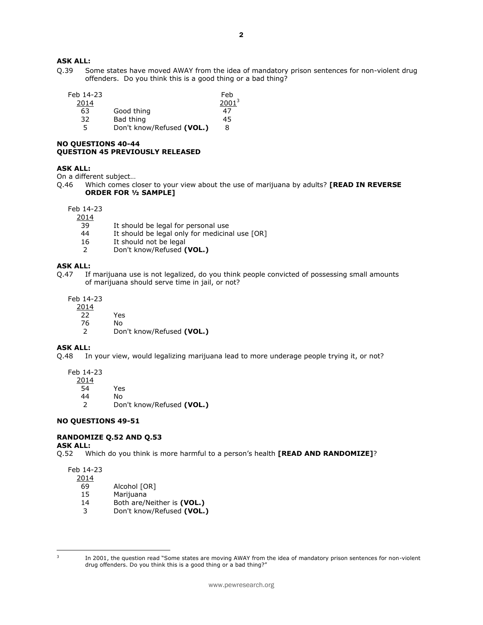# **ASK ALL:**

Q.39 Some states have moved AWAY from the idea of mandatory prison sentences for non-violent drug offenders. Do you think this is a good thing or a bad thing?

| Feb 14-23 |                           | Feb      |
|-----------|---------------------------|----------|
| 2014      |                           | $2001^3$ |
| 63        | Good thing                | 47       |
| 32        | Bad thing                 | 45       |
| 5         | Don't know/Refused (VOL.) | 8        |

# **NO QUESTIONS 40-44 QUESTION 45 PREVIOUSLY RELEASED**

## **ASK ALL:**

On a different subject…

Q.46 Which comes closer to your view about the use of marijuana by adults? **[READ IN REVERSE ORDER FOR ½ SAMPLE]** 

Feb 14-23

 $\frac{2014}{39}$ 

- 39 It should be legal for personal use<br>44 It should be legal only for medicina
- It should be legal only for medicinal use [OR]
- 16 It should not be legal
- 2 Don't know/Refused **(VOL.)**

#### **ASK ALL:**

Q.47 If marijuana use is not legalized, do you think people convicted of possessing small amounts of marijuana should serve time in jail, or not?

Feb 14-23

2014

- 22 Yes
- 76 No
- 2 Don't know/Refused **(VOL.)**

# **ASK ALL:**

Q.48 In your view, would legalizing marijuana lead to more underage people trying it, or not?

Feb 14-23

2014

54 Yes

44 No<br>2 Doi

2 Don't know/Refused **(VOL.)**

## **NO QUESTIONS 49-51**

## **RANDOMIZE Q.52 AND Q.53**

**ASK ALL:**

Q.52 Which do you think is more harmful to a person's health **[READ AND RANDOMIZE]**?

Feb 14-23

- 2014
	- 69 Alcohol [OR]
	- 15 Marijuana
	- 14 Both are/Neither is **(VOL.)**
	- 3 Don't know/Refused **(VOL.)**

-<br>3

In 2001, the question read "Some states are moving AWAY from the idea of mandatory prison sentences for non-violent drug offenders. Do you think this is a good thing or a bad thing?"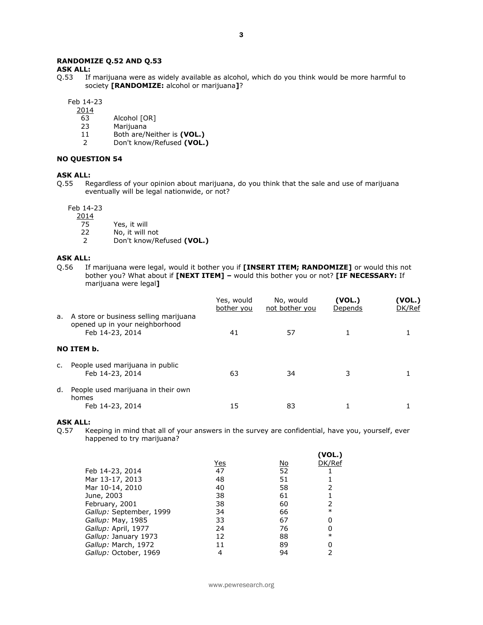## **RANDOMIZE Q.52 AND Q.53**

**ASK ALL:**<br>Q.53 If

If marijuana were as widely available as alcohol, which do you think would be more harmful to society **[RANDOMIZE:** alcohol or marijuana**]**?

Feb 14-23

2014

- 63 Alcohol [OR]
- 23 Marijuana
- 11 Both are/Neither is **(VOL.)**<br>2 Don't know/Refused **(VOL.**)
- 2 Don't know/Refused **(VOL.)**

### **NO QUESTION 54**

# **ASK ALL:**

Q.55 Regardless of your opinion about marijuana, do you think that the sale and use of marijuana eventually will be legal nationwide, or not?

Feb 14-23

 $\frac{2014}{75}$ 

75 Yes, it will<br>22 No, it will r

- No, it will not
- 2 Don't know/Refused **(VOL.)**

### **ASK ALL:**

Q.56 If marijuana were legal, would it bother you if **[INSERT ITEM; RANDOMIZE]** or would this not bother you? What about if **[NEXT ITEM] –** would this bother you or not? **[IF NECESSARY:** If marijuana were legal**]** 

|    |                                                                                               | Yes, would<br>bother you | No, would<br>not bother you | (VOL.)<br>Depends | (VOL.)<br>DK/Ref |
|----|-----------------------------------------------------------------------------------------------|--------------------------|-----------------------------|-------------------|------------------|
|    | a. A store or business selling marijuana<br>opened up in your neighborhood<br>Feb 14-23, 2014 | 41                       | 57                          |                   |                  |
|    | NO ITEM b.                                                                                    |                          |                             |                   |                  |
| c. | People used marijuana in public<br>Feb 14-23, 2014                                            | 63                       | 34                          | 3                 |                  |
| d. | People used marijuana in their own<br>homes                                                   |                          |                             |                   |                  |
|    | Feb 14-23, 2014                                                                               | 15                       | 83                          |                   |                  |

#### **ASK ALL:**

Q.57 Keeping in mind that all of your answers in the survey are confidential, have you, yourself, ever happened to try marijuana?

 $(1001)$ 

|                         |            |           | ( V V L. J |
|-------------------------|------------|-----------|------------|
|                         | <u>Yes</u> | <u>No</u> | DK/Ref     |
| Feb 14-23, 2014         | 47         | 52        |            |
| Mar 13-17, 2013         | 48         | 51        |            |
| Mar 10-14, 2010         | 40         | 58        |            |
| June, 2003              | 38         | 61        |            |
| February, 2001          | 38         | 60        |            |
| Gallup: September, 1999 | 34         | 66        | $\ast$     |
| Gallup: May, 1985       | 33         | 67        |            |
| Gallup: April, 1977     | 24         | 76        |            |
| Gallup: January 1973    | 12         | 88        | $\ast$     |
| Gallup: March, 1972     | 11         | 89        |            |
| Gallup: October, 1969   |            | 94        |            |
|                         |            |           |            |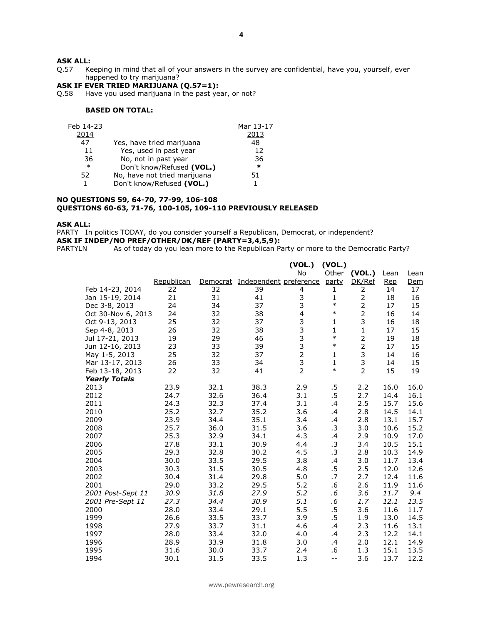# **ASK ALL:**<br>Q.57 Ke

Keeping in mind that all of your answers in the survey are confidential, have you, yourself, ever happened to try marijuana?

## **ASK IF EVER TRIED MARIJUANA (Q.57=1):**

Q.58 Have you used marijuana in the past year, or not?

## **BASED ON TOTAL:**

| Feb 14-23 |                              | Mar 13-17 |
|-----------|------------------------------|-----------|
| 2014      |                              | 2013      |
| 47        | Yes, have tried marijuana    | 48        |
| 11        | Yes, used in past year       | 12        |
| 36        | No, not in past year         | 36        |
| $\ast$    | Don't know/Refused (VOL.)    | $\ast$    |
| 52        | No, have not tried marijuana | 51.       |
| 1.        | Don't know/Refused (VOL.)    |           |
|           |                              |           |

#### **NO QUESTIONS 59, 64-70, 77-99, 106-108 QUESTIONS 60-63, 71-76, 100-105, 109-110 PREVIOUSLY RELEASED**

### **ASK ALL:**

PARTY In politics TODAY, do you consider yourself a Republican, Democrat, or independent? **ASK IF INDEP/NO PREF/OTHER/DK/REF (PARTY=3,4,5,9):**<br>PARTYLN As of today do you lean more to the Republican Pa

As of today do you lean more to the Republican Party or more to the Democratic Party?

|                      |            |          |                        | (VOL.)         | (VOL.)       |                |      |      |
|----------------------|------------|----------|------------------------|----------------|--------------|----------------|------|------|
|                      |            |          |                        | No             | Other        | (VOL.)         | Lean | Lean |
|                      | Republican | Democrat | Independent preference |                | party        | DK/Ref         | Rep  | Dem  |
| Feb 14-23, 2014      | 22         | 32       | 39                     | 4              | 1            | 2              | 14   | 17   |
| Jan 15-19, 2014      | 21         | 31       | 41                     | 3              | $\mathbf{1}$ | $\mathbf 2$    | 18   | 16   |
| Dec 3-8, 2013        | 24         | 34       | 37                     | 3              | $\ast$       | $\overline{2}$ | 17   | 15   |
| Oct 30-Nov 6, 2013   | 24         | 32       | 38                     | 4              | $\ast$       | $\overline{2}$ | 16   | 14   |
| Oct 9-13, 2013       | 25         | 32       | 37                     | 3              | 1            | 3              | 16   | 18   |
| Sep 4-8, 2013        | 26         | 32       | 38                     | 3              | $\mathbf{1}$ | $\mathbf 1$    | 17   | 15   |
| Jul 17-21, 2013      | 19         | 29       | 46                     | 3              | $\ast$       | $\mathbf 2$    | 19   | 18   |
| Jun 12-16, 2013      | 23         | 33       | 39                     | 3              | $\ast$       | $\overline{2}$ | 17   | 15   |
| May 1-5, 2013        | 25         | 32       | 37                     | $\overline{2}$ | 1            | 3              | 14   | 16   |
| Mar 13-17, 2013      | 26         | 33       | 34                     | 3              | $\mathbf{1}$ | 3              | 14   | 15   |
| Feb 13-18, 2013      | 22         | 32       | 41                     | $\overline{2}$ | $\ast$       | $\overline{2}$ | 15   | 19   |
| <b>Yearly Totals</b> |            |          |                        |                |              |                |      |      |
| 2013                 | 23.9       | 32.1     | 38.3                   | 2.9            | .5           | 2.2            | 16.0 | 16.0 |
| 2012                 | 24.7       | 32.6     | 36.4                   | 3.1            | .5           | 2.7            | 14.4 | 16.1 |
| 2011                 | 24.3       | 32.3     | 37.4                   | 3.1            | .4           | 2.5            | 15.7 | 15.6 |
| 2010                 | 25.2       | 32.7     | 35.2                   | 3.6            | .4           | 2.8            | 14.5 | 14.1 |
| 2009                 | 23.9       | 34.4     | 35.1                   | 3.4            | .4           | 2.8            | 13.1 | 15.7 |
| 2008                 | 25.7       | 36.0     | 31.5                   | 3.6            | .3           | 3.0            | 10.6 | 15.2 |
| 2007                 | 25.3       | 32.9     | 34.1                   | 4.3            | .4           | 2.9            | 10.9 | 17.0 |
| 2006                 | 27.8       | 33.1     | 30.9                   | 4.4            | .3           | 3.4            | 10.5 | 15.1 |
| 2005                 | 29.3       | 32.8     | 30.2                   | 4.5            | .3           | 2.8            | 10.3 | 14.9 |
| 2004                 | 30.0       | 33.5     | 29.5                   | 3.8            | .4           | 3.0            | 11.7 | 13.4 |
| 2003                 | 30.3       | 31.5     | 30.5                   | 4.8            | .5           | 2.5            | 12.0 | 12.6 |
| 2002                 | 30.4       | 31.4     | 29.8                   | 5.0            | .7           | 2.7            | 12.4 | 11.6 |
| 2001                 | 29.0       | 33.2     | 29.5                   | 5.2            | .6           | 2.6            | 11.9 | 11.6 |
| 2001 Post-Sept 11    | 30.9       | 31.8     | 27.9                   | 5.2            | .6           | 3.6            | 11.7 | 9.4  |
| 2001 Pre-Sept 11     | 27.3       | 34.4     | 30.9                   | 5.1            | $.6\,$       | 1.7            | 12.1 | 13.5 |
| 2000                 | 28.0       | 33.4     | 29.1                   | 5.5            | .5           | 3.6            | 11.6 | 11.7 |
| 1999                 | 26.6       | 33.5     | 33.7                   | 3.9            | .5           | 1.9            | 13.0 | 14.5 |
| 1998                 | 27.9       | 33.7     | 31.1                   | 4.6            | $\cdot$      | 2.3            | 11.6 | 13.1 |
| 1997                 | 28.0       | 33.4     | 32.0                   | 4.0            | .4           | 2.3            | 12.2 | 14.1 |
| 1996                 | 28.9       | 33.9     | 31.8                   | 3.0            | .4           | 2.0            | 12.1 | 14.9 |
| 1995                 | 31.6       | 30.0     | 33.7                   | 2.4            | .6           | 1.3            | 15.1 | 13.5 |
| 1994                 | 30.1       | 31.5     | 33.5                   | 1.3            | $-$          | 3.6            | 13.7 | 12.2 |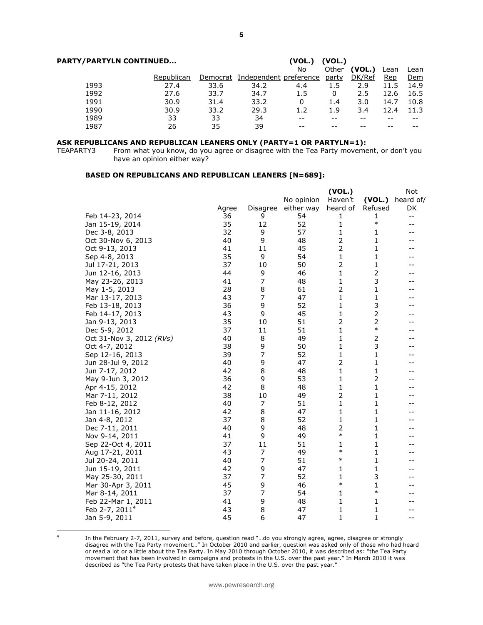| <b>PARTY/PARTYLN CONTINUED</b> |            |          |                        |     |       |        |      |      |
|--------------------------------|------------|----------|------------------------|-----|-------|--------|------|------|
|                                |            |          |                        | No  | Other | (VOL.) | Lean | Lean |
|                                | Republican | Democrat | Independent preference |     | party | DK/Ref | Rep  | Dem  |
| 1993                           | 27.4       | 33.6     | 34.2                   | 4.4 | 1.5   | 2.9    | 11.5 | 14.9 |
| 1992                           | 27.6       | 33.7     | 34.7                   | 1.5 | 0     | 2.5    | 12.6 | 16.5 |
| 1991                           | 30.9       | 31.4     | 33.2                   | 0   | 1.4   | 3.0    | 14.7 | 10.8 |
| 1990                           | 30.9       | 33.2     | 29.3                   | 1.2 | 1.9   | 3.4    | 12.4 | 11.3 |
| 1989                           | 33         | 33       | 34                     |     | --    |        |      |      |
| 1987                           | 26         | 35       | 39                     |     |       |        |      |      |
|                                |            |          |                        |     |       |        |      |      |

# **ASK REPUBLICANS AND REPUBLICAN LEANERS ONLY (PARTY=1 OR PARTYLN=1):**<br>TEAPARTY3 From what you know, do you agree or disagree with the Tea Party moveme

From what you know, do you agree or disagree with the Tea Party movement, or don't you have an opinion either way?

### **BASED ON REPUBLICANS AND REPUBLICAN LEANERS [N=689]:**

|                            |              |          |            | (VOL.)         |                | Not            |
|----------------------------|--------------|----------|------------|----------------|----------------|----------------|
|                            |              |          | No opinion | Haven't        | (VOL.)         | heard of/      |
|                            | <u>Agree</u> | Disagree | either way | heard of       | Refused        | D <sub>K</sub> |
| Feb 14-23, 2014            | 36           | 9        | 54         | 1              | 1              | $- -$          |
| Jan 15-19, 2014            | 35           | 12       | 52         | 1              | $\ast$         | $-$            |
| Dec 3-8, 2013              | 32           | 9        | 57         | 1              | 1              | --             |
| Oct 30-Nov 6, 2013         | 40           | 9        | 48         | $\overline{2}$ | $\mathbf{1}$   |                |
| Oct 9-13, 2013             | 41           | 11       | 45         | $\overline{2}$ | 1              |                |
| Sep 4-8, 2013              | 35           | 9        | 54         | 1              | 1              | --             |
| Jul 17-21, 2013            | 37           | 10       | 50         | $\overline{2}$ | 1              |                |
| Jun 12-16, 2013            | 44           | 9        | 46         | 1              | $\overline{2}$ |                |
| May 23-26, 2013            | 41           | 7        | 48         | 1              | 3              |                |
| May 1-5, 2013              | 28           | 8        | 61         | 2              | 1              |                |
| Mar 13-17, 2013            | 43           | 7        | 47         | 1              | 1              |                |
| Feb 13-18, 2013            | 36           | 9        | 52         | 1              | 3              |                |
| Feb 14-17, 2013            | 43           | 9        | 45         | 1              | $\overline{2}$ |                |
| Jan 9-13, 2013             | 35           | 10       | 51         | $\overline{2}$ | $\overline{2}$ |                |
| Dec 5-9, 2012              | 37           | 11       | 51         | 1              | $\ast$         |                |
| Oct 31-Nov 3, 2012 (RVs)   | 40           | 8        | 49         | 1              | 2              |                |
| Oct 4-7, 2012              | 38           | 9        | 50         | 1              | 3              |                |
| Sep 12-16, 2013            | 39           | 7        | 52         | 1              | $\mathbf{1}$   |                |
| Jun 28-Jul 9, 2012         | 40           | 9        | 47         | $\overline{2}$ | 1              |                |
| Jun 7-17, 2012             | 42           | 8        | 48         | 1              | 1              |                |
| May 9-Jun 3, 2012          | 36           | 9        | 53         | 1              | 2              |                |
| Apr 4-15, 2012             | 42           | 8        | 48         | 1              | 1              |                |
| Mar 7-11, 2012             | 38           | 10       | 49         | $\overline{2}$ | 1              |                |
| Feb 8-12, 2012             | 40           | 7        | 51         | 1              | 1              |                |
| Jan 11-16, 2012            | 42           | 8        | 47         | 1              | 1              | --             |
| Jan 4-8, 2012              | 37           | 8        | 52         | 1              | 1              |                |
| Dec 7-11, 2011             | 40           | 9        | 48         | $\overline{2}$ | 1              |                |
| Nov 9-14, 2011             | 41           | 9        | 49         | $\ast$         | 1              |                |
| Sep 22-Oct 4, 2011         | 37           | 11       | 51         | 1              | 1              |                |
| Aug 17-21, 2011            | 43           | 7        | 49         | $\ast$         | 1              |                |
| Jul 20-24, 2011            | 40           | 7        | 51         | $\ast$         | $\mathbf{1}$   |                |
| Jun 15-19, 2011            | 42           | 9        | 47         | 1              | 1              |                |
| May 25-30, 2011            | 37           | 7        | 52         | 1              | 3              | --             |
| Mar 30-Apr 3, 2011         | 45           | 9        | 46         | $\ast$         | $\mathbf{1}$   |                |
| Mar 8-14, 2011             | 37           | 7        | 54         | 1              | $\ast$         |                |
| Feb 22-Mar 1, 2011         | 41           | 9        | 48         | 1              | 1              | --             |
| Feb 2-7, 2011 <sup>4</sup> | 43           | 8        | 47         | 1              | 1              |                |
| Jan 5-9, 2011              | 45           | 6        | 47         | 1              | 1              | --             |

4

In the February 2-7, 2011, survey and before, question read "…do you strongly agree, agree, disagree or strongly disagree with the Tea Party movement…" In October 2010 and earlier, question was asked only of those who had heard or read a lot or a little about the Tea Party. In May 2010 through October 2010, it was described as: "the Tea Party movement that has been involved in campaigns and protests in the U.S. over the past year." In March 2010 it was described as "the Tea Party protests that have taken place in the U.S. over the past year."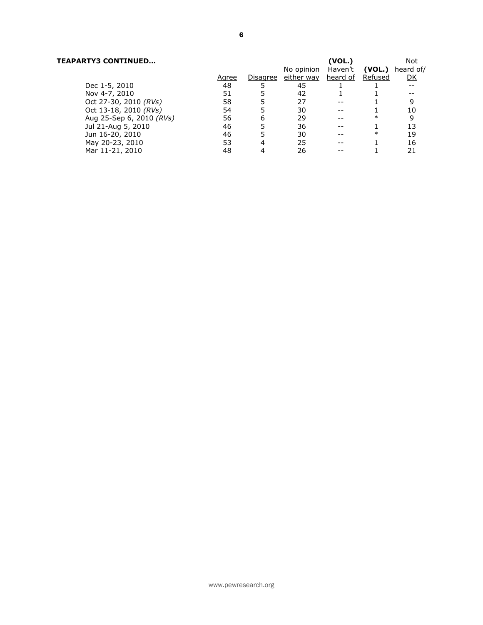# **TEAPARTY3 CONTINUED… (VOL.)** Not

|                          |       |          | No opinion Haven't |          | (VOL.)  | heard of/ |
|--------------------------|-------|----------|--------------------|----------|---------|-----------|
|                          | Agree | Disagree | either way         | heard of | Refused | <u>DK</u> |
| Dec 1-5, 2010            | 48    |          | 45                 |          |         |           |
| Nov 4-7, 2010            | 51    |          | 42                 |          |         |           |
| Oct 27-30, 2010 (RVs)    | 58    |          | 27                 |          |         | 9         |
| Oct 13-18, 2010 (RVs)    | 54    |          | 30                 |          |         | 10        |
| Aug 25-Sep 6, 2010 (RVs) | 56    | 6        | 29                 |          | $\ast$  | 9         |
| Jul 21-Aug 5, 2010       | 46    |          | 36                 |          |         | 13        |
| Jun 16-20, 2010          | 46    |          | 30                 |          | $\ast$  | 19        |
| May 20-23, 2010          | 53    | 4        | 25                 |          |         | 16        |
| Mar 11-21, 2010          | 48    |          | 26                 |          |         | 21        |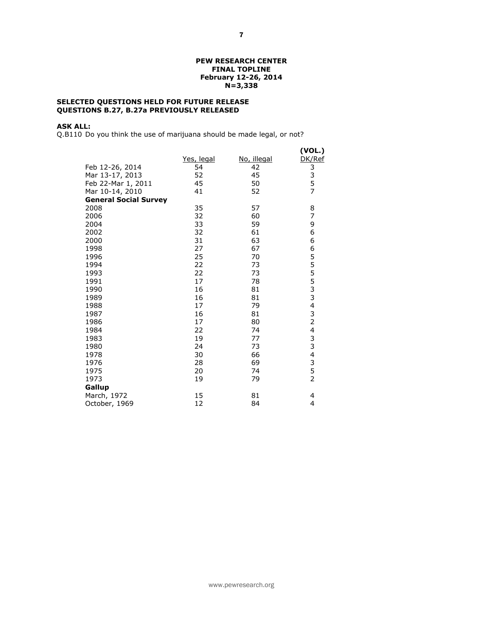### **PEW RESEARCH CENTER FINAL TOPLINE February 12-26, 2014 N=3,338**

# **SELECTED QUESTIONS HELD FOR FUTURE RELEASE QUESTIONS B.27, B.27a PREVIOUSLY RELEASED**

# **ASK ALL:**

Q.B110 Do you think the use of marijuana should be made legal, or not?

|                              |            |             | (VOL.)           |
|------------------------------|------------|-------------|------------------|
|                              | Yes, legal | No, illegal | DK/Ref           |
| Feb 12-26, 2014              | 54         | 42          |                  |
| Mar 13-17, 2013              | 52         | 45          |                  |
| Feb 22-Mar 1, 2011           | 45         | 50          | 3<br>3<br>5<br>7 |
| Mar 10-14, 2010              | 41         | 52          |                  |
| <b>General Social Survey</b> |            |             |                  |
| 2008                         | 35         | 57          | 8                |
| 2006                         | 32         | 60          | 7                |
| 2004                         | 33         | 59          | 9                |
| 2002                         | 32         | 61          | 6                |
| 2000                         | 31         | 63          | 6                |
| 1998                         | 27         | 67          | 6                |
| 1996                         | 25         | 70          |                  |
| 1994                         | 22         | 73          |                  |
| 1993                         | 22         | 73          | 5555334324       |
| 1991                         | 17         | 78          |                  |
| 1990                         | 16         | 81          |                  |
| 1989                         | 16         | 81          |                  |
| 1988                         | 17         | 79          |                  |
| 1987                         | 16         | 81          |                  |
| 1986                         | 17         | 80          |                  |
| 1984                         | 22         | 74          |                  |
| 1983                         | 19         | 77          | 3<br>3<br>4      |
| 1980                         | 24         | 73          |                  |
| 1978                         | 30         | 66          |                  |
| 1976                         | 28         | 69          | 3                |
| 1975                         | 20         | 74          | 5                |
| 1973                         | 19         | 79          | $\overline{2}$   |
| Gallup                       |            |             |                  |
| March, 1972                  | 15         | 81          | 4                |
| October, 1969                | 12         | 84          | 4                |